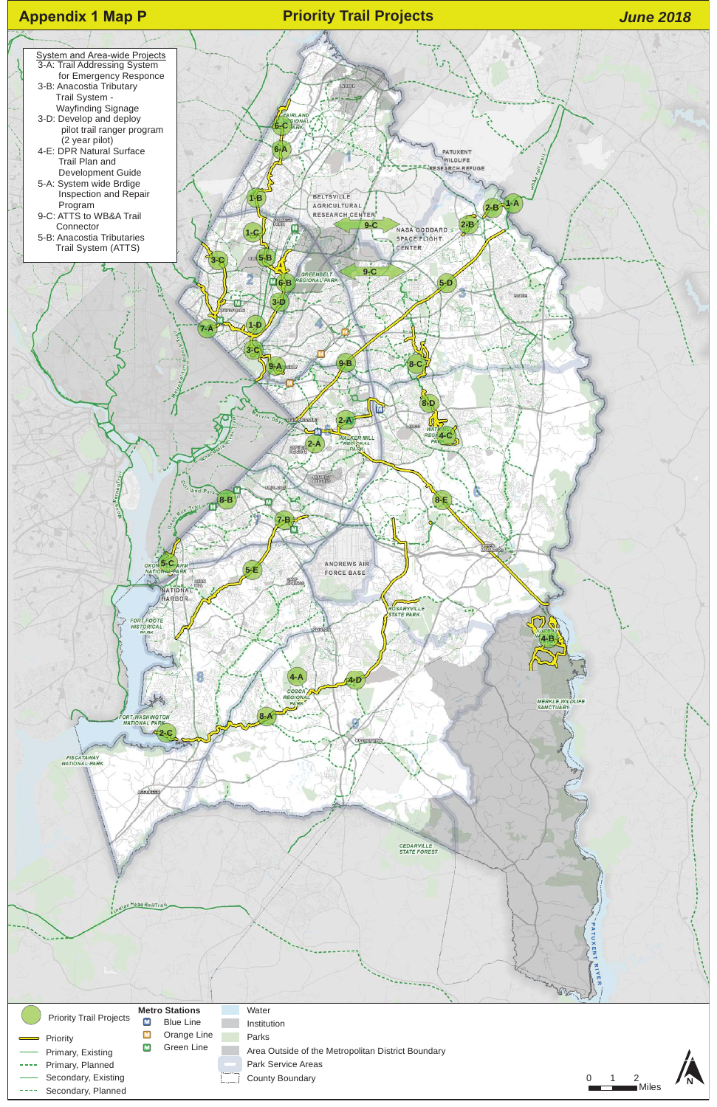

- Area Outside of the Metropolitan District Boundary
- Park Service Areas
- County Boundary **012**

## Priority Trail Projects

- Priority
- Primary, Existing
- Primary, Planned
- Secondary, Existing
- Secondary, Planned

## **Metro Stations**  $\blacksquare$ Blue Line

 $\blacksquare$ 

Orange Line

- Water
- Institution
- Parks
- $\blacksquare$ Green Line

## **Appendix 1 Map P**

Miles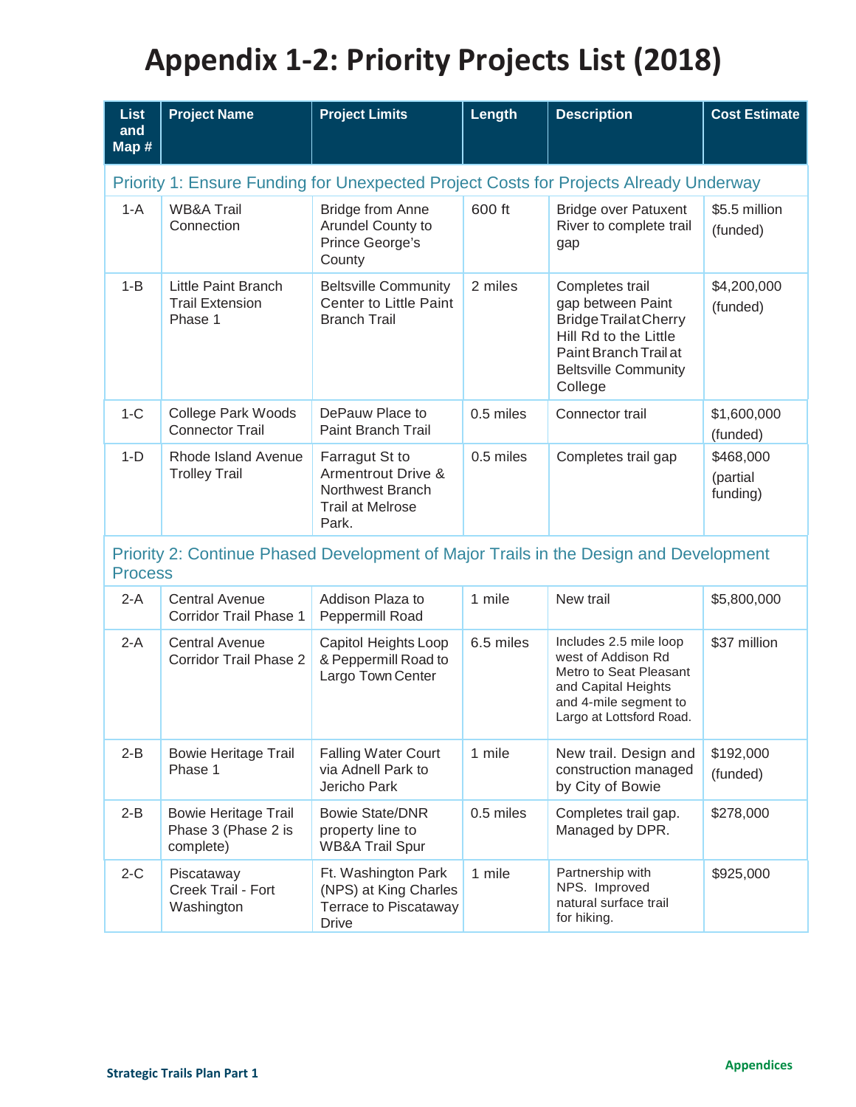# **Appendix 1-2: Priority Projects List (2018)**

| <b>List</b><br>and<br>Map #                                                                             | <b>Project Name</b>                                             | <b>Project Limits</b>                                                                                   | Length    | <b>Description</b>                                                                                                                                               | <b>Cost Estimate</b>              |  |
|---------------------------------------------------------------------------------------------------------|-----------------------------------------------------------------|---------------------------------------------------------------------------------------------------------|-----------|------------------------------------------------------------------------------------------------------------------------------------------------------------------|-----------------------------------|--|
| Priority 1: Ensure Funding for Unexpected Project Costs for Projects Already Underway                   |                                                                 |                                                                                                         |           |                                                                                                                                                                  |                                   |  |
| $1-A$                                                                                                   | <b>WB&amp;A Trail</b><br>Connection                             | <b>Bridge from Anne</b><br>Arundel County to<br>Prince George's<br>County                               | 600 ft    | <b>Bridge over Patuxent</b><br>River to complete trail<br>gap                                                                                                    | \$5.5 million<br>(funded)         |  |
| $1 - B$                                                                                                 | <b>Little Paint Branch</b><br><b>Trail Extension</b><br>Phase 1 | <b>Beltsville Community</b><br><b>Center to Little Paint</b><br><b>Branch Trail</b>                     | 2 miles   | Completes trail<br>gap between Paint<br><b>Bridge Trailat Cherry</b><br>Hill Rd to the Little<br>Paint Branch Trail at<br><b>Beltsville Community</b><br>College | \$4,200,000<br>(funded)           |  |
| $1-C$                                                                                                   | <b>College Park Woods</b><br><b>Connector Trail</b>             | DePauw Place to<br><b>Paint Branch Trail</b>                                                            | 0.5 miles | Connector trail                                                                                                                                                  | \$1,600,000<br>(funded)           |  |
| $1-D$                                                                                                   | Rhode Island Avenue<br><b>Trolley Trail</b>                     | Farragut St to<br><b>Armentrout Drive &amp;</b><br>Northwest Branch<br><b>Trail at Melrose</b><br>Park. | 0.5 miles | Completes trail gap                                                                                                                                              | \$468,000<br>(partial<br>funding) |  |
| Priority 2: Continue Phased Development of Major Trails in the Design and Development<br><b>Process</b> |                                                                 |                                                                                                         |           |                                                                                                                                                                  |                                   |  |
| $2-A$                                                                                                   | <b>Central Avenue</b><br>Corridor Trail Phase 1                 | Addison Plaza to<br>Peppermill Road                                                                     | 1 mile    | New trail                                                                                                                                                        | \$5,800,000                       |  |
| $2-A$                                                                                                   | <b>Central Avenue</b><br><b>Corridor Trail Phase 2</b>          | Capitol Heights Loop<br>& Peppermill Road to<br>Largo Town Center                                       | 6.5 miles | Includes 2.5 mile loop<br>west of Addison Rd<br>Metro to Seat Pleasant<br>and Capital Heights<br>and 4-mile segment to<br>Largo at Lottsford Road.               | \$37 million                      |  |
| $2 - B$                                                                                                 | <b>Bowie Heritage Trail</b><br>Phase 1                          | <b>Falling Water Court</b><br>via Adnell Park to<br>Jericho Park                                        | 1 mile    | New trail. Design and<br>construction managed<br>by City of Bowie                                                                                                | \$192,000<br>(funded)             |  |
| $2 - B$                                                                                                 | <b>Bowie Heritage Trail</b><br>Phase 3 (Phase 2 is<br>complete) | <b>Bowie State/DNR</b><br>property line to<br><b>WB&amp;A Trail Spur</b>                                | 0.5 miles | Completes trail gap.<br>Managed by DPR.                                                                                                                          | \$278,000                         |  |
| $2-C$                                                                                                   | Piscataway<br>Creek Trail - Fort<br>Washington                  | Ft. Washington Park<br>(NPS) at King Charles<br>Terrace to Piscataway<br><b>Drive</b>                   | 1 mile    | Partnership with<br>NPS. Improved<br>natural surface trail<br>for hiking.                                                                                        | \$925,000                         |  |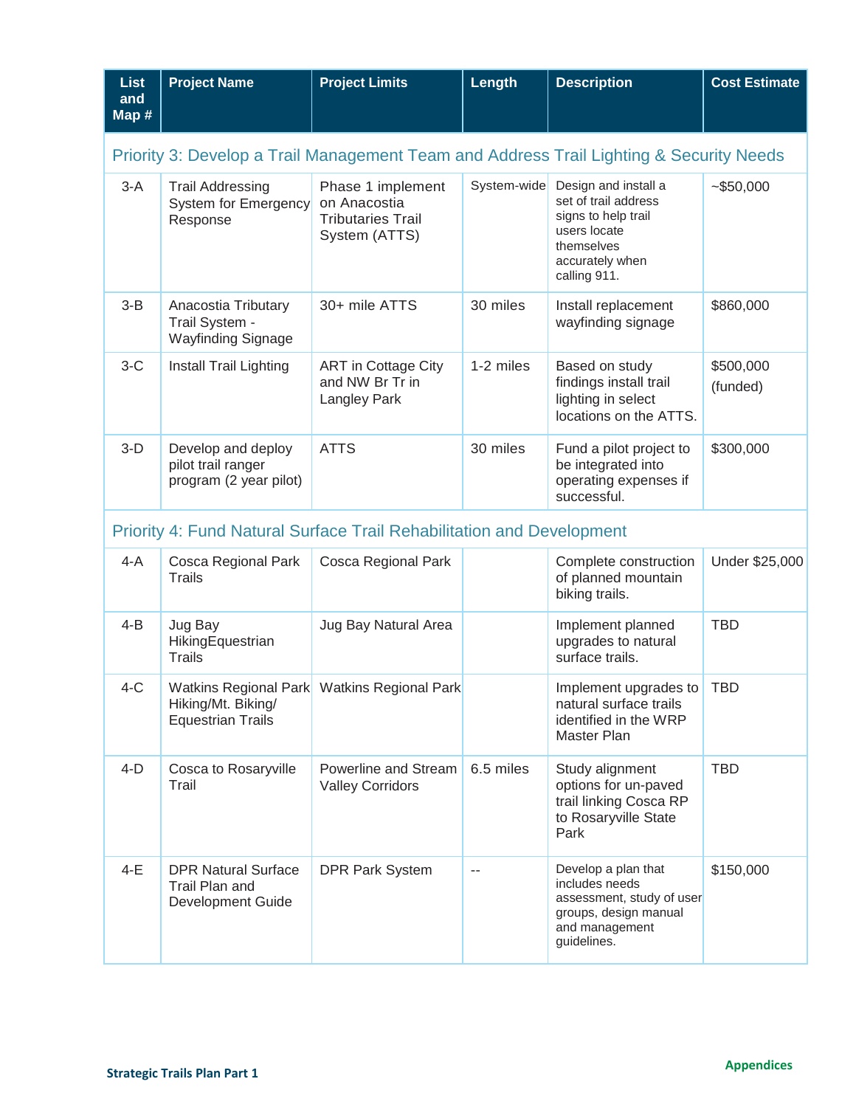| <b>List</b><br>and<br>Map #                                                             | <b>Project Name</b>                                                          | <b>Project Limits</b>                                                          | Length      | <b>Description</b>                                                                                                                   | <b>Cost Estimate</b>  |  |  |
|-----------------------------------------------------------------------------------------|------------------------------------------------------------------------------|--------------------------------------------------------------------------------|-------------|--------------------------------------------------------------------------------------------------------------------------------------|-----------------------|--|--|
| Priority 3: Develop a Trail Management Team and Address Trail Lighting & Security Needs |                                                                              |                                                                                |             |                                                                                                                                      |                       |  |  |
| $3-A$                                                                                   | <b>Trail Addressing</b><br>System for Emergency<br>Response                  | Phase 1 implement<br>on Anacostia<br><b>Tributaries Trail</b><br>System (ATTS) | System-wide | Design and install a<br>set of trail address<br>signs to help trail<br>users locate<br>themselves<br>accurately when<br>calling 911. | $-$ \$50,000          |  |  |
| $3 - B$                                                                                 | Anacostia Tributary<br>Trail System -<br><b>Wayfinding Signage</b>           | 30+ mile ATTS                                                                  | 30 miles    | Install replacement<br>wayfinding signage                                                                                            | \$860,000             |  |  |
| $3-C$                                                                                   | Install Trail Lighting                                                       | <b>ART</b> in Cottage City<br>and NW Br Tr in<br><b>Langley Park</b>           | 1-2 miles   | Based on study<br>findings install trail<br>lighting in select<br>locations on the ATTS.                                             | \$500,000<br>(funded) |  |  |
| $3-D$                                                                                   | Develop and deploy<br>pilot trail ranger<br>program (2 year pilot)           | <b>ATTS</b>                                                                    | 30 miles    | Fund a pilot project to<br>be integrated into<br>operating expenses if<br>successful.                                                | \$300,000             |  |  |
|                                                                                         | <b>Priority 4: Fund Natural Surface Trail Rehabilitation and Development</b> |                                                                                |             |                                                                                                                                      |                       |  |  |
| $4-A$                                                                                   | Cosca Regional Park<br><b>Trails</b>                                         | Cosca Regional Park                                                            |             | Complete construction<br>of planned mountain<br>biking trails.                                                                       | Under \$25,000        |  |  |
| $4 - B$                                                                                 | Jug Bay<br>HikingEquestrian<br><b>Trails</b>                                 | Jug Bay Natural Area                                                           |             | Implement planned<br>upgrades to natural<br>surface trails.                                                                          | <b>TBD</b>            |  |  |
| $4-C$                                                                                   | Hiking/Mt. Biking/<br><b>Equestrian Trails</b>                               | Watkins Regional Park Watkins Regional Park                                    |             | Implement upgrades to<br>natural surface trails<br>identified in the WRP<br>Master Plan                                              | <b>TBD</b>            |  |  |
| $4-D$                                                                                   | Cosca to Rosaryville<br>Trail                                                | Powerline and Stream<br><b>Valley Corridors</b>                                | 6.5 miles   | Study alignment<br>options for un-paved<br>trail linking Cosca RP<br>to Rosaryville State<br>Park                                    | <b>TBD</b>            |  |  |
| $4-E$                                                                                   | <b>DPR Natural Surface</b><br>Trail Plan and<br>Development Guide            | <b>DPR Park System</b>                                                         | $\sim$ $-$  | Develop a plan that<br>includes needs<br>assessment, study of user<br>groups, design manual<br>and management<br>guidelines.         | \$150,000             |  |  |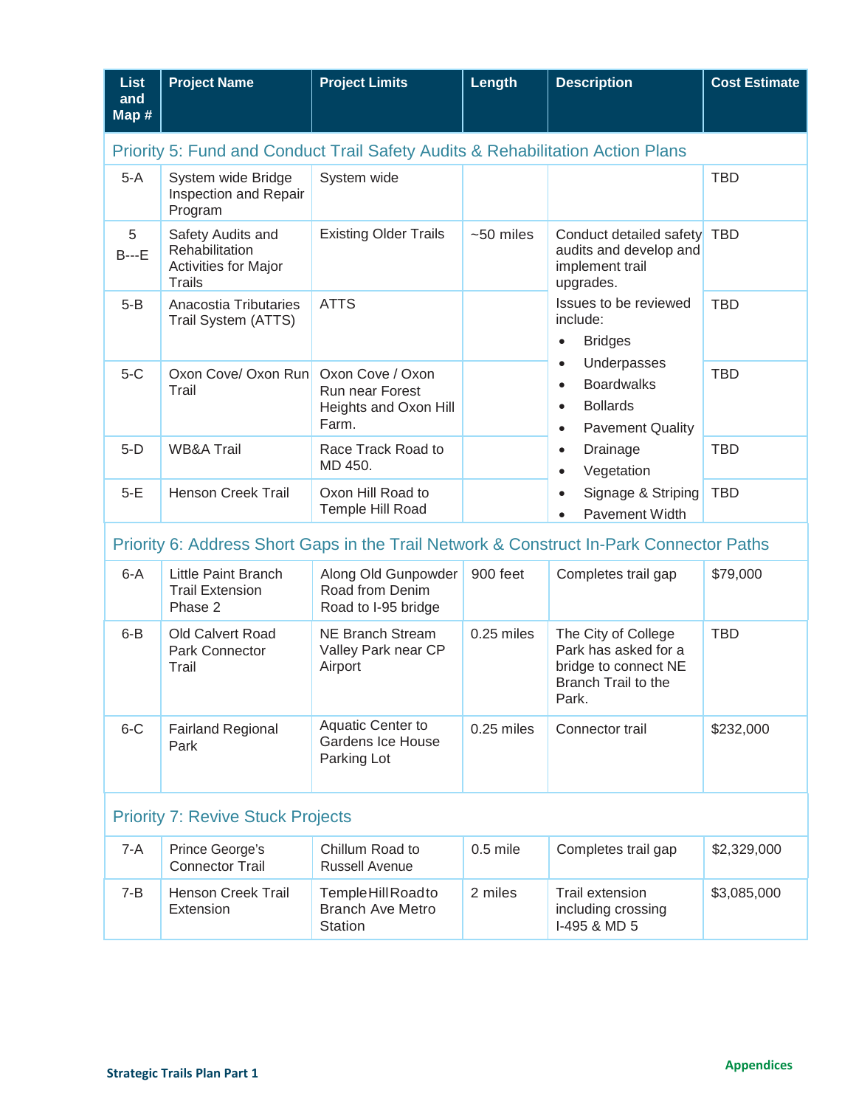| <b>List</b><br>and<br>Map #                                                             | <b>Project Name</b>                                                                 | <b>Project Limits</b>                                                        | Length      | <b>Description</b>                                                                                                                                                                                                                                                                                                                                                                                          | <b>Cost Estimate</b> |  |
|-----------------------------------------------------------------------------------------|-------------------------------------------------------------------------------------|------------------------------------------------------------------------------|-------------|-------------------------------------------------------------------------------------------------------------------------------------------------------------------------------------------------------------------------------------------------------------------------------------------------------------------------------------------------------------------------------------------------------------|----------------------|--|
|                                                                                         | Priority 5: Fund and Conduct Trail Safety Audits & Rehabilitation Action Plans      |                                                                              |             |                                                                                                                                                                                                                                                                                                                                                                                                             |                      |  |
| $5-A$                                                                                   | System wide Bridge<br>Inspection and Repair<br>Program                              | System wide                                                                  |             |                                                                                                                                                                                                                                                                                                                                                                                                             | <b>TBD</b>           |  |
| 5<br>$B--E$                                                                             | Safety Audits and<br>Rehabilitation<br><b>Activities for Major</b><br><b>Trails</b> | <b>Existing Older Trails</b>                                                 | $~50$ miles | Conduct detailed safety<br>audits and develop and<br>implement trail<br>upgrades.<br>Issues to be reviewed<br>include:<br><b>Bridges</b><br>$\bullet$<br>Underpasses<br>$\bullet$<br><b>Boardwalks</b><br>$\bullet$<br><b>Bollards</b><br>$\bullet$<br><b>Pavement Quality</b><br>$\bullet$<br>Drainage<br>$\bullet$<br>Vegetation<br>$\bullet$<br>Signage & Striping<br>$\bullet$<br><b>Pavement Width</b> | <b>TBD</b>           |  |
| $5 - B$                                                                                 | Anacostia Tributaries<br>Trail System (ATTS)                                        | <b>ATTS</b>                                                                  |             |                                                                                                                                                                                                                                                                                                                                                                                                             | <b>TBD</b>           |  |
| $5-C$                                                                                   | Oxon Cove/ Oxon Run<br>Trail                                                        | Oxon Cove / Oxon<br><b>Run near Forest</b><br>Heights and Oxon Hill<br>Farm. |             |                                                                                                                                                                                                                                                                                                                                                                                                             | <b>TBD</b>           |  |
| $5-D$                                                                                   | <b>WB&amp;A Trail</b>                                                               | Race Track Road to<br>MD 450.                                                |             |                                                                                                                                                                                                                                                                                                                                                                                                             | <b>TBD</b>           |  |
| $5-E$                                                                                   | <b>Henson Creek Trail</b>                                                           | Oxon Hill Road to<br>Temple Hill Road                                        |             |                                                                                                                                                                                                                                                                                                                                                                                                             | <b>TBD</b>           |  |
| Priority 6: Address Short Gaps in the Trail Network & Construct In-Park Connector Paths |                                                                                     |                                                                              |             |                                                                                                                                                                                                                                                                                                                                                                                                             |                      |  |
| $6-A$                                                                                   | <b>Little Paint Branch</b><br><b>Trail Extension</b><br>Phase 2                     | Along Old Gunpowder<br>Road from Denim<br>Road to I-95 bridge                | 900 feet    | Completes trail gap                                                                                                                                                                                                                                                                                                                                                                                         | \$79,000             |  |
| $6 - B$                                                                                 | Old Calvert Road<br>Park Connector<br>Trail                                         | <b>NE Branch Stream</b><br>Valley Park near CP<br>Airport                    | 0.25 miles  | The City of College<br>Park has asked for a<br>bridge to connect NE<br>Branch Trail to the<br>Park.                                                                                                                                                                                                                                                                                                         | <b>TBD</b>           |  |
| $6-C$                                                                                   | <b>Fairland Regional</b><br>Park                                                    | <b>Aquatic Center to</b><br><b>Gardens Ice House</b><br>Parking Lot          | 0.25 miles  | Connector trail                                                                                                                                                                                                                                                                                                                                                                                             | \$232,000            |  |
| <b>Priority 7: Revive Stuck Projects</b>                                                |                                                                                     |                                                                              |             |                                                                                                                                                                                                                                                                                                                                                                                                             |                      |  |
| $7-A$                                                                                   | Prince George's<br><b>Connector Trail</b>                                           | Chillum Road to<br><b>Russell Avenue</b>                                     | $0.5$ mile  | Completes trail gap                                                                                                                                                                                                                                                                                                                                                                                         | \$2,329,000          |  |
| $7 - B$                                                                                 | <b>Henson Creek Trail</b><br>Extension                                              | Temple Hill Roadto<br><b>Branch Ave Metro</b><br><b>Station</b>              | 2 miles     | Trail extension<br>including crossing<br>I-495 & MD 5                                                                                                                                                                                                                                                                                                                                                       | \$3,085,000          |  |